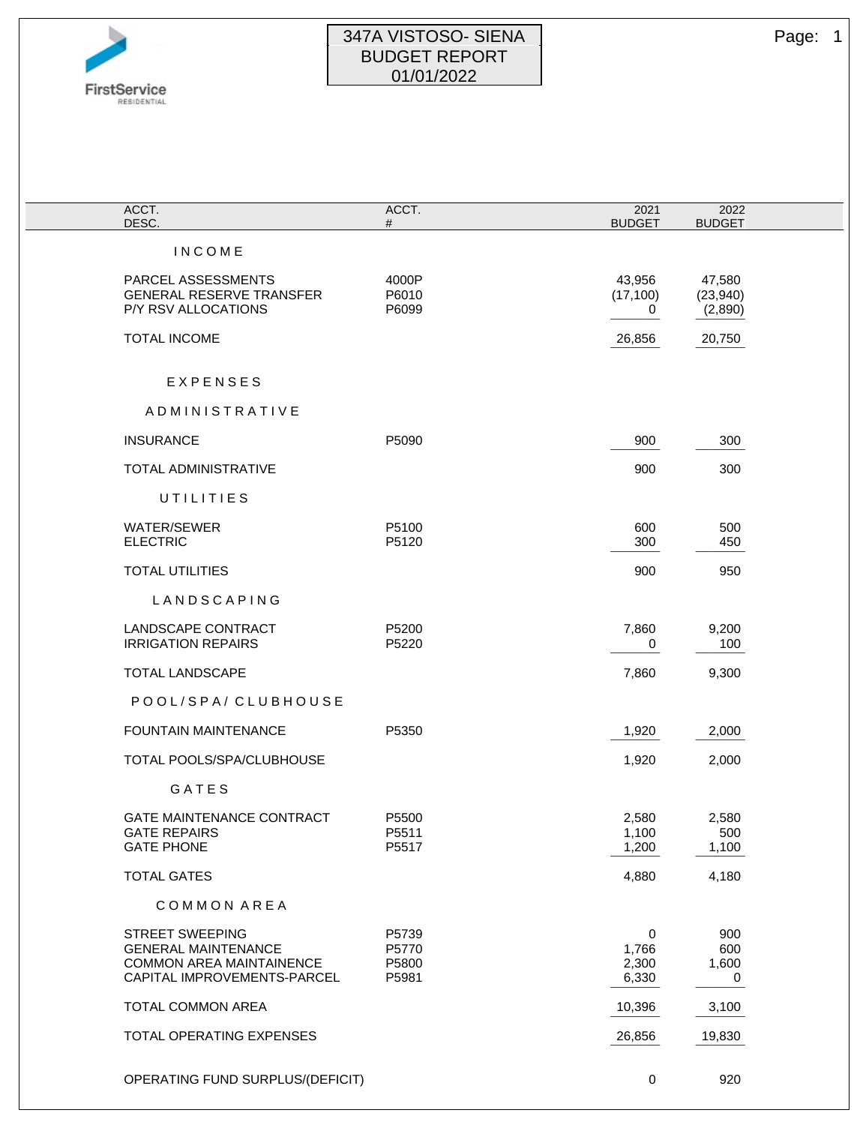

## 347A VISTOSO- SIENA Page: 1 BUDGET REPORT 01/01/2022

| ACCT.<br>DESC.                                                                                                         | ACCT.<br>#                       | 2021<br><b>BUDGET</b>        | 2022<br><b>BUDGET</b>         |  |
|------------------------------------------------------------------------------------------------------------------------|----------------------------------|------------------------------|-------------------------------|--|
| <b>INCOME</b>                                                                                                          |                                  |                              |                               |  |
| PARCEL ASSESSMENTS<br><b>GENERAL RESERVE TRANSFER</b><br>P/Y RSV ALLOCATIONS                                           | 4000P<br>P6010<br>P6099          | 43,956<br>(17, 100)<br>0     | 47,580<br>(23,940)<br>(2,890) |  |
| TOTAL INCOME                                                                                                           |                                  | 26,856                       | 20,750                        |  |
| EXPENSES                                                                                                               |                                  |                              |                               |  |
| ADMINISTRATIVE                                                                                                         |                                  |                              |                               |  |
| <b>INSURANCE</b>                                                                                                       | P5090                            | 900                          | 300                           |  |
| TOTAL ADMINISTRATIVE                                                                                                   |                                  | 900                          | 300                           |  |
| UTILITIES                                                                                                              |                                  |                              |                               |  |
| <b>WATER/SEWER</b><br><b>ELECTRIC</b>                                                                                  | P5100<br>P5120                   | 600<br>300                   | 500<br>450                    |  |
| <b>TOTAL UTILITIES</b>                                                                                                 |                                  | 900                          | 950                           |  |
| LANDSCAPING                                                                                                            |                                  |                              |                               |  |
| LANDSCAPE CONTRACT<br><b>IRRIGATION REPAIRS</b>                                                                        | P5200<br>P5220                   | 7,860<br>0                   | 9,200<br>100                  |  |
| <b>TOTAL LANDSCAPE</b>                                                                                                 |                                  | 7,860                        | 9,300                         |  |
| POOL/SPA/CLUBHOUSE                                                                                                     |                                  |                              |                               |  |
| <b>FOUNTAIN MAINTENANCE</b>                                                                                            | P5350                            | 1,920                        | 2,000                         |  |
| TOTAL POOLS/SPA/CLUBHOUSE                                                                                              |                                  | 1,920                        | 2,000                         |  |
| GATES                                                                                                                  |                                  |                              |                               |  |
| <b>GATE MAINTENANCE CONTRACT</b><br><b>GATE REPAIRS</b><br><b>GATE PHONE</b>                                           | P5500<br>P5511<br>P5517          | 2,580<br>1,100<br>1,200      | 2,580<br>500<br>1,100         |  |
| <b>TOTAL GATES</b>                                                                                                     |                                  | 4,880                        | 4,180                         |  |
| COMMON AREA                                                                                                            |                                  |                              |                               |  |
| <b>STREET SWEEPING</b><br><b>GENERAL MAINTENANCE</b><br><b>COMMON AREA MAINTAINENCE</b><br>CAPITAL IMPROVEMENTS-PARCEL | P5739<br>P5770<br>P5800<br>P5981 | 0<br>1,766<br>2,300<br>6,330 | 900<br>600<br>1,600<br>$-2$   |  |
| TOTAL COMMON AREA                                                                                                      |                                  | 10,396                       | 3,100                         |  |
| TOTAL OPERATING EXPENSES                                                                                               |                                  | 26,856                       | 19,830                        |  |
| OPERATING FUND SURPLUS/(DEFICIT)                                                                                       |                                  | 0                            | 920                           |  |